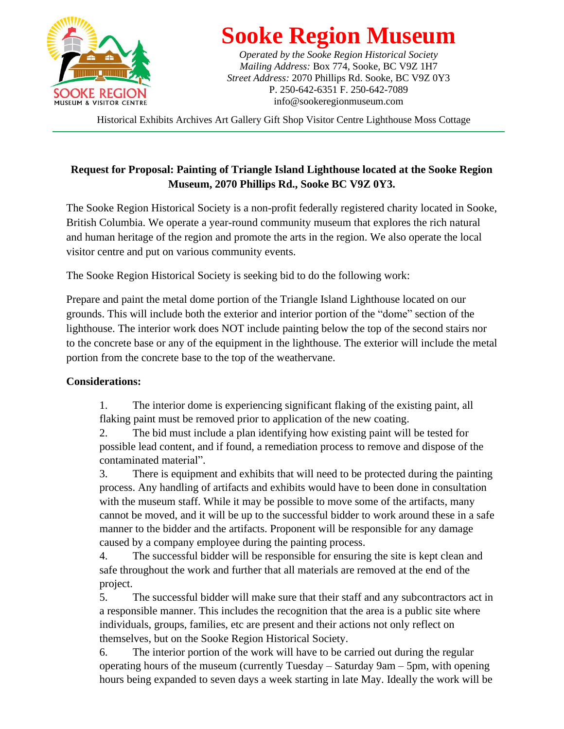

# **Sooke Region Museum**

*Operated by the Sooke Region Historical Society Mailing Address:* Box 774, Sooke, BC V9Z 1H7 *Street Address:* 2070 Phillips Rd. Sooke, BC V9Z 0Y3 P. 250-642-6351 F. 250-642-7089 info@sookeregionmuseum.com

Historical Exhibits Archives Art Gallery Gift Shop Visitor Centre Lighthouse Moss Cottage

# **Request for Proposal: Painting of Triangle Island Lighthouse located at the Sooke Region Museum, 2070 Phillips Rd., Sooke BC V9Z 0Y3.**

The Sooke Region Historical Society is a non-profit federally registered charity located in Sooke, British Columbia. We operate a year-round community museum that explores the rich natural and human heritage of the region and promote the arts in the region. We also operate the local visitor centre and put on various community events.

The Sooke Region Historical Society is seeking bid to do the following work:

Prepare and paint the metal dome portion of the Triangle Island Lighthouse located on our grounds. This will include both the exterior and interior portion of the "dome" section of the lighthouse. The interior work does NOT include painting below the top of the second stairs nor to the concrete base or any of the equipment in the lighthouse. The exterior will include the metal portion from the concrete base to the top of the weathervane.

#### **Considerations:**

1. The interior dome is experiencing significant flaking of the existing paint, all flaking paint must be removed prior to application of the new coating.

2. The bid must include a plan identifying how existing paint will be tested for possible lead content, and if found, a remediation process to remove and dispose of the contaminated material".

3. There is equipment and exhibits that will need to be protected during the painting process. Any handling of artifacts and exhibits would have to been done in consultation with the museum staff. While it may be possible to move some of the artifacts, many cannot be moved, and it will be up to the successful bidder to work around these in a safe manner to the bidder and the artifacts. Proponent will be responsible for any damage caused by a company employee during the painting process.

4. The successful bidder will be responsible for ensuring the site is kept clean and safe throughout the work and further that all materials are removed at the end of the project.

5. The successful bidder will make sure that their staff and any subcontractors act in a responsible manner. This includes the recognition that the area is a public site where individuals, groups, families, etc are present and their actions not only reflect on themselves, but on the Sooke Region Historical Society.

6. The interior portion of the work will have to be carried out during the regular operating hours of the museum (currently Tuesday – Saturday 9am – 5pm, with opening hours being expanded to seven days a week starting in late May. Ideally the work will be